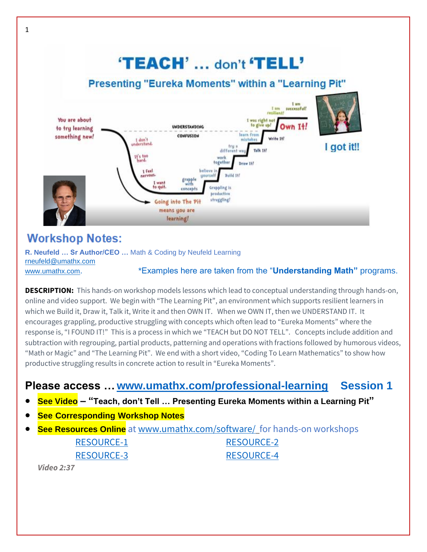## 'TEACH' ... don't 'TELL'

### Presenting "Eureka Moments" within a "Learning Pit"



## **Workshop Notes:**

**R. Neufeld … Sr Author/CEO …** Math & Coding by Neufeld Learning [rneufeld@umathx.com](mailto:rneufeld@umathx.com)

#### [www.umathx.com](http://www.umathx.com/). \*Examples here are taken from the "**Understanding Math"** programs.

**DESCRIPTION:** This hands-on workshop models lessons which lead to conceptual understanding through hands-on, online and video support. We begin with "The Learning Pit", an environment which supports resilient learners in which we Build it, Draw it, Talk it, Write it and then OWN IT. When we OWN IT, then we UNDERSTAND IT. It encourages grappling, productive struggling with concepts which often lead to "Eureka Moments" where the response is, "I FOUND IT!" This is a process in which we "TEACH but DO NOT TELL". Concepts include addition and subtraction with regrouping, partial products, patterning and operations with fractions followed by humorous videos, "Math or Magic" and "The Learning Pit". We end with a short video, "Coding To Learn Mathematics" to show how productive struggling results in concrete action to result in "Eureka Moments".

## **Please access …[www.umathx.com/professional-learning](http://www.umathx.com/professional-learning) Session 1**

- **See Video – "Teach, don't Tell … Presenting Eureka Moments within a Learning Pit"**
- **See Corresponding Workshop Notes**
- **See Resources Online** at [www.umathx.com/software/](http://www.umathx.com/software/) for hands-on workshops [RESOURCE-1](https://www.umathx.com/wp-content/uploads/RESOURCE-1-Partial-Products.pdf) [RESOURCE-2](https://www.umathx.com/wp-content/uploads/RESOURCE-2-_-Teach-Dont-Tell-_-Partial-Products-.pdf)  [RESOURCE-3](https://www.umathx.com/wp-content/uploads/RESOURCE-3-Partial-Products.pdf) [RESOURCE-4](https://www.umathx.com/wp-content/uploads/RESOURCE-4-Manipulatives_2.pdf)

*Video 2:37*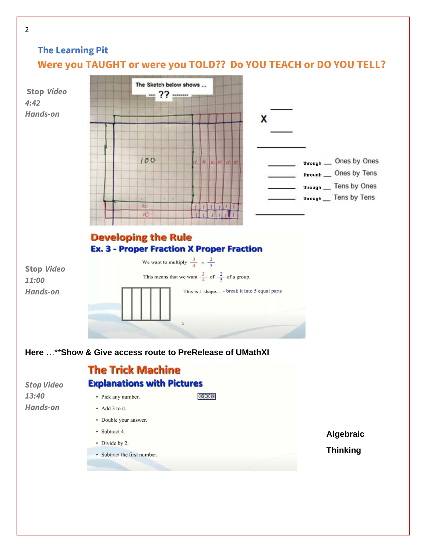## **The Learning Pit Were you TAUGHT or were you TOLD?? Do YOU TEACH or DO YOU TELL?**

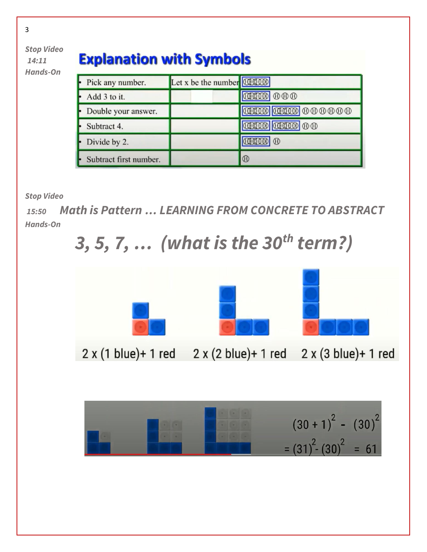

# **Explanation with Symbols**

| Pick any number.       | Let x be the number 000000 |                         |
|------------------------|----------------------------|-------------------------|
| Add 3 to it.           |                            | <b>TIME</b> 000         |
| Double your answer.    |                            | <b>THE CHAIN COOP</b>   |
| Subtract 4.            |                            | <b>THE THE TELEP</b> 00 |
| Divide by 2.           |                            | 000000000               |
| Subtract first number. |                            | $^{\circ}$              |

*Stop Video*

*15:50 Math is Pattern … LEARNING FROM CONCRETE TO ABSTRACT Hands-On*







3